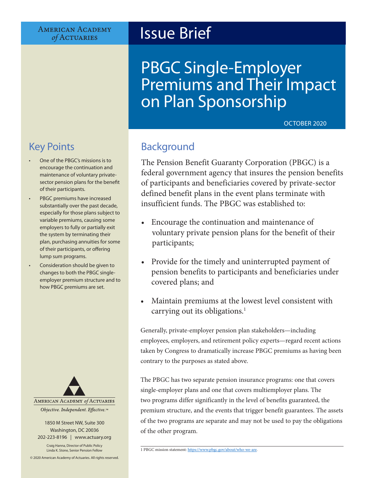### **AMERICAN ACADEMY** of ACTUARIES

# Issue Brief

# PBGC Single-Employer Premiums and Their Impact on Plan Sponsorship

### OCTOBER 2020

# Key Points

- One of the PBGC's missions is to encourage the continuation and maintenance of voluntary privatesector pension plans for the benefit of their participants.
- PBGC premiums have increased substantially over the past decade, especially for those plans subject to variable premiums, causing some employers to fully or partially exit the system by terminating their plan, purchasing annuities for some of their participants, or offering lump sum programs.
- Consideration should be given to changes to both the PBGC singleemployer premium structure and to how PBGC premiums are set.



1850 M Street NW, Suite 300 Washington, DC 20036 202-223-8196 | [www.actuary.org](http://actuary.org)

Craig Hanna, Director of Public Policy Linda K. Stone, Senior Pension Fellow

© 2020 American Academy of Actuaries. All rights reserved.

# Background

The Pension Benefit Guaranty Corporation (PBGC) is a federal government agency that insures the pension benefits of participants and beneficiaries covered by private-sector defined benefit plans in the event plans terminate with insufficient funds. The PBGC was established to:

- Encourage the continuation and maintenance of voluntary private pension plans for the benefit of their participants;
- Provide for the timely and uninterrupted payment of pension benefits to participants and beneficiaries under covered plans; and
- Maintain premiums at the lowest level consistent with carrying out its obligations.<sup>1</sup>

Generally, private-employer pension plan stakeholders—including employees, employers, and retirement policy experts—regard recent actions taken by Congress to dramatically increase PBGC premiums as having been contrary to the purposes as stated above.

The PBGC has two separate pension insurance programs: one that covers single-employer plans and one that covers multiemployer plans. The two programs differ significantly in the level of benefits guaranteed, the premium structure, and the events that trigger benefit guarantees. The assets of the two programs are separate and may not be used to pay the obligations of the other program.

<sup>1</sup> PBGC mission statement: <https://www.pbgc.gov/about/who-we-are>.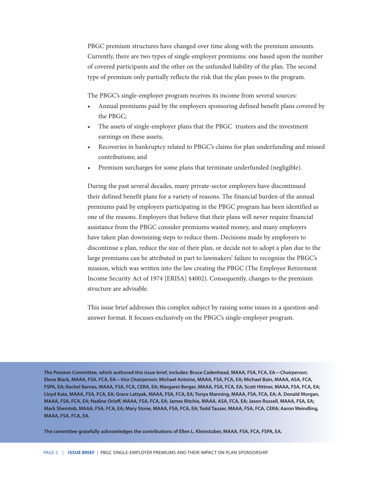PBGC premium structures have changed over time along with the premium amounts. Currently, there are two types of single-employer premiums: one based upon the number of covered participants and the other on the unfunded liability of the plan. The second type of premium only partially reflects the risk that the plan poses to the program.

The PBGC's single-employer program receives its income from several sources:

- Annual premiums paid by the employers sponsoring defined benefit plans covered by the PBGC;
- The assets of single-employer plans that the PBGC trustees and the investment earnings on these assets;
- Recoveries in bankruptcy related to PBGC's claims for plan underfunding and missed contributions; and
- Premium surcharges for some plans that terminate underfunded (negligible).

During the past several decades, many private-sector employers have discontinued their defined benefit plans for a variety of reasons. The financial burden of the annual premiums paid by employers participating in the PBGC program has been identified as one of the reasons. Employers that believe that their plans will never require financial assistance from the PBGC consider premiums wasted money, and many employers have taken plan downsizing steps to reduce them. Decisions made by employers to discontinue a plan, reduce the size of their plan, or decide not to adopt a plan due to the large premiums can be attributed in part to lawmakers' failure to recognize the PBGC's mission, which was written into the law creating the PBGC (The Employee Retirement Income Security Act of 1974 [ERISA] §4002). Consequently, changes to the premium structure are advisable.

This issue brief addresses this complex subject by raising some issues in a question-andanswer format. It focuses exclusively on the PBGC's single-employer program.

**The Pension Committee, which authored this issue brief, includes: Bruce Cadenhead, MAAA, FSA, FCA, EA—***Chairperson***; Elena Black, MAAA, FSA, FCA, EA—***Vice Chairperson***; Michael Antoine, MAAA, FSA, FCA, EA; Michael Bain, MAAA, ASA, FCA, FSPA, EA; Rachel Barnes, MAAA, FSA, FCA, CERA, EA; Margaret Berger, MAAA, FSA, FCA, EA; Scott Hittner, MAAA, FSA, FCA, EA; Lloyd Katz, MAAA, FSA, FCA, EA; Grace Lattyak, MAAA, FSA, FCA, EA; Tonya Manning, MAAA, FSA, FCA, EA; A. Donald Morgan, MAAA, FSA, FCA, EA; Nadine Orloff, MAAA, FSA, FCA, EA; James Ritchie, MAAA, ASA, FCA, EA; Jason Russell, MAAA, FSA, EA; Mark Shemtob, MAAA, FSA, FCA, EA; Mary Stone, MAAA, FSA, FCA, EA; Todd Tauzer, MAAA, FSA, FCA, CERA; Aaron Weindling, MAAA, FSA, FCA, EA.**

**The committee gratefully acknowledges the contributions of Ellen L. Kleinstuber, MAAA, FSA, FCA, FSPA, EA.**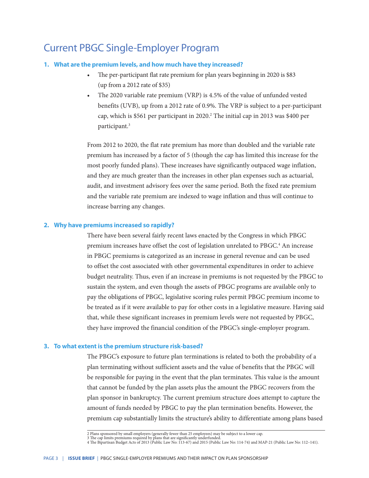# Current PBGC Single-Employer Program

### **1. What are the premium levels, and how much have they increased?**

- The per-participant flat rate premium for plan years beginning in 2020 is \$83 (up from a 2012 rate of \$35)
- The 2020 variable rate premium (VRP) is 4.5% of the value of unfunded vested benefits (UVB), up from a 2012 rate of 0.9%. The VRP is subject to a per-participant cap, which is \$561 per participant in 2020.2 The initial cap in 2013 was \$400 per participant.3

From 2012 to 2020, the flat rate premium has more than doubled and the variable rate premium has increased by a factor of 5 (though the cap has limited this increase for the most poorly funded plans). These increases have significantly outpaced wage inflation, and they are much greater than the increases in other plan expenses such as actuarial, audit, and investment advisory fees over the same period. Both the fixed rate premium and the variable rate premium are indexed to wage inflation and thus will continue to increase barring any changes.

### **2. Why have premiums increased so rapidly?**

There have been several fairly recent laws enacted by the Congress in which PBGC premium increases have offset the cost of legislation unrelated to PBGC.<sup>4</sup> An increase in PBGC premiums is categorized as an increase in general revenue and can be used to offset the cost associated with other governmental expenditures in order to achieve budget neutrality. Thus, even if an increase in premiums is not requested by the PBGC to sustain the system, and even though the assets of PBGC programs are available only to pay the obligations of PBGC, legislative scoring rules permit PBGC premium income to be treated as if it were available to pay for other costs in a legislative measure. Having said that, while these significant increases in premium levels were not requested by PBGC, they have improved the financial condition of the PBGC's single-employer program.

#### **3. To what extent is the premium structure risk-based?**

The PBGC's exposure to future plan terminations is related to both the probability of a plan terminating without sufficient assets and the value of benefits that the PBGC will be responsible for paying in the event that the plan terminates. This value is the amount that cannot be funded by the plan assets plus the amount the PBGC recovers from the plan sponsor in bankruptcy. The current premium structure does attempt to capture the amount of funds needed by PBGC to pay the plan termination benefits. However, the premium cap substantially limits the structure's ability to differentiate among plans based

<sup>2</sup> Plans sponsored by small employers (generally fewer than 25 employees) may be subject to a lower cap.

<sup>3</sup> The cap limits premiums required by plans that are significantly underfunded. 4 The Bipartisan Budget Acts of 2013 (Public Law No: 113-67) and 2015 (Public Law No: 114-74) and MAP-21 (Public Law No: 112–141).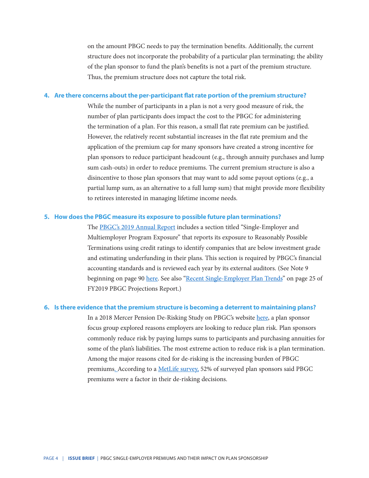on the amount PBGC needs to pay the termination benefits. Additionally, the current structure does not incorporate the probability of a particular plan terminating; the ability of the plan sponsor to fund the plan's benefits is not a part of the premium structure. Thus, the premium structure does not capture the total risk.

#### **4. Are there concerns about the per-participant flat rate portion of the premium structure?**

While the number of participants in a plan is not a very good measure of risk, the number of plan participants does impact the cost to the PBGC for administering the termination of a plan. For this reason, a small flat rate premium can be justified. However, the relatively recent substantial increases in the flat rate premium and the application of the premium cap for many sponsors have created a strong incentive for plan sponsors to reduce participant headcount (e.g., through annuity purchases and lump sum cash-outs) in order to reduce premiums. The current premium structure is also a disincentive to those plan sponsors that may want to add some payout options (e.g., a partial lump sum, as an alternative to a full lump sum) that might provide more flexibility to retirees interested in managing lifetime income needs.

#### **5. How does the PBGC measure its exposure to possible future plan terminations?**

The [PBGC's 2019 Annual Report](https://www.pbgc.gov/sites/default/files/pbgc-fy-2019-annual-report.pdf) includes a section titled "Single-Employer and Multiemployer Program Exposure" that reports its exposure to Reasonably Possible Terminations using credit ratings to identify companies that are below investment grade and estimating underfunding in their plans. This section is required by PBGC's financial accounting standards and is reviewed each year by its external auditors. (See Note 9 beginning on page [90](https://www.pbgc.gov/sites/default/files/fy-2019-projections-report.pdf) [here.](https://www.pbgc.gov/sites/default/files/pbgc-fy-2019-annual-report.pdf) See also ["Recent Single-Employer Plan Trends"](https://www.pbgc.gov/sites/default/files/fy-2019-projections-report.pdf) on page 25 of FY2019 PBGC Projections Report.)

### **6. Is there evidence that the premium structure is becoming a deterrent to maintaining plans?**

In a 2018 Mercer Pension De-Risking Study on PBGC's website [here,](https://www.pbgc.gov/sites/default/files/appendix_i_de-risking_study-2018.pdf) a plan sponsor focus group explored reasons employers are looking to reduce plan risk. Plan sponsors commonly reduce risk by paying lumps sums to participants and purchasing annuities for some of the plan's liabilities. The most extreme action to reduce risk is a plan termination. Among the major reasons cited for de-risking is the increasing burden of PBGC premiums\_According to a [MetLife survey,](https://www.metlife.com/content/dam/metlifecom/us/homepage/institutionalRetirement/insights/PensionRisk/2019-PRT-Poll-Report-exp2-2020.pdf) 52% of surveyed plan sponsors said PBGC premiums were a factor in their de-risking decisions.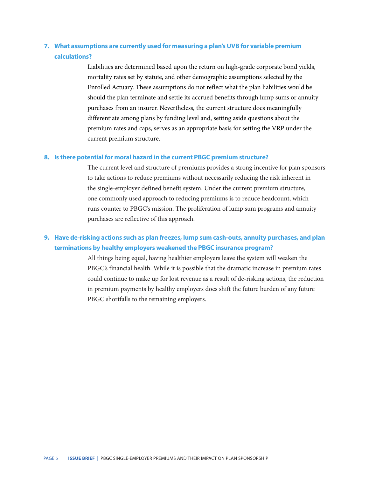# **7. What assumptions are currently used for measuring a plan's UVB for variable premium calculations?**

Liabilities are determined based upon the return on high-grade corporate bond yields, mortality rates set by statute, and other demographic assumptions selected by the Enrolled Actuary. These assumptions do not reflect what the plan liabilities would be should the plan terminate and settle its accrued benefits through lump sums or annuity purchases from an insurer. Nevertheless, the current structure does meaningfully differentiate among plans by funding level and, setting aside questions about the premium rates and caps, serves as an appropriate basis for setting the VRP under the current premium structure.

### **8. Is there potential for moral hazard in the current PBGC premium structure?**

The current level and structure of premiums provides a strong incentive for plan sponsors to take actions to reduce premiums without necessarily reducing the risk inherent in the single-employer defined benefit system. Under the current premium structure, one commonly used approach to reducing premiums is to reduce headcount, which runs counter to PBGC's mission. The proliferation of lump sum programs and annuity purchases are reflective of this approach.

## **9. Have de-risking actions such as plan freezes, lump sum cash-outs, annuity purchases, and plan terminations by healthy employers weakened the PBGC insurance program?**

All things being equal, having healthier employers leave the system will weaken the PBGC's financial health. While it is possible that the dramatic increase in premium rates could continue to make up for lost revenue as a result of de-risking actions, the reduction in premium payments by healthy employers does shift the future burden of any future PBGC shortfalls to the remaining employers.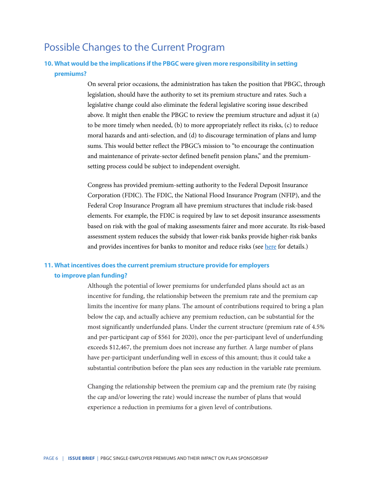# Possible Changes to the Current Program

## **10. What would be the implications if the PBGC were given more responsibility in setting premiums?**

On several prior occasions, the administration has taken the position that PBGC, through legislation, should have the authority to set its premium structure and rates. Such a legislative change could also eliminate the federal legislative scoring issue described above. It might then enable the PBGC to review the premium structure and adjust it (a) to be more timely when needed, (b) to more appropriately reflect its risks, (c) to reduce moral hazards and anti-selection, and (d) to discourage termination of plans and lump sums. This would better reflect the PBGC's mission to "to encourage the continuation and maintenance of private-sector defined benefit pension plans," and the premiumsetting process could be subject to independent oversight.

Congress has provided premium-setting authority to the Federal Deposit Insurance Corporation (FDIC). The FDIC, the National Flood Insurance Program (NFIP), and the Federal Crop Insurance Program all have premium structures that include risk-based elements. For example, the FDIC is required by law to set deposit insurance assessments based on risk with the goal of making assessments fairer and more accurate. Its risk-based assessment system reduces the subsidy that lower-risk banks provide higher-risk banks and provides incentives for banks to monitor and reduce risks (see [here](https://www.fdic.gov/bank/analytical/cfr/staff-studies/2020-01.pdf) for details.)

# **11. What incentives does the current premium structure provide for employers to improve plan funding?**

Although the potential of lower premiums for underfunded plans should act as an incentive for funding, the relationship between the premium rate and the premium cap limits the incentive for many plans. The amount of contributions required to bring a plan below the cap, and actually achieve any premium reduction, can be substantial for the most significantly underfunded plans. Under the current structure (premium rate of 4.5% and per-participant cap of \$561 for 2020), once the per-participant level of underfunding exceeds \$12,467, the premium does not increase any further. A large number of plans have per-participant underfunding well in excess of this amount; thus it could take a substantial contribution before the plan sees any reduction in the variable rate premium.

Changing the relationship between the premium cap and the premium rate (by raising the cap and/or lowering the rate) would increase the number of plans that would experience a reduction in premiums for a given level of contributions.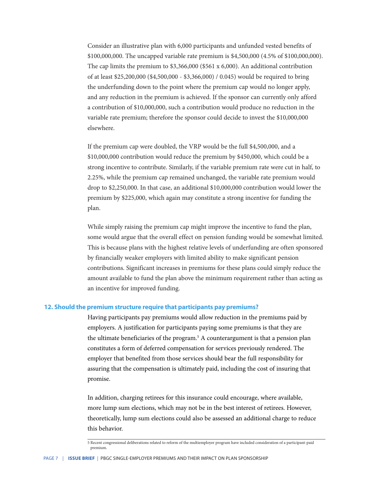Consider an illustrative plan with 6,000 participants and unfunded vested benefits of \$100,000,000. The uncapped variable rate premium is \$4,500,000 (4.5% of \$100,000,000). The cap limits the premium to \$3,366,000 (\$561 x 6,000). An additional contribution of at least \$25,200,000 (\$4,500,000 - \$3,366,000) / 0.045) would be required to bring the underfunding down to the point where the premium cap would no longer apply, and any reduction in the premium is achieved. If the sponsor can currently only afford a contribution of \$10,000,000, such a contribution would produce no reduction in the variable rate premium; therefore the sponsor could decide to invest the \$10,000,000 elsewhere.

If the premium cap were doubled, the VRP would be the full \$4,500,000, and a \$10,000,000 contribution would reduce the premium by \$450,000, which could be a strong incentive to contribute. Similarly, if the variable premium rate were cut in half, to 2.25%, while the premium cap remained unchanged, the variable rate premium would drop to \$2,250,000. In that case, an additional \$10,000,000 contribution would lower the premium by \$225,000, which again may constitute a strong incentive for funding the plan.

While simply raising the premium cap might improve the incentive to fund the plan, some would argue that the overall effect on pension funding would be somewhat limited. This is because plans with the highest relative levels of underfunding are often sponsored by financially weaker employers with limited ability to make significant pension contributions. Significant increases in premiums for these plans could simply reduce the amount available to fund the plan above the minimum requirement rather than acting as an incentive for improved funding.

#### **12. Should the premium structure require that participants pay premiums?**

Having participants pay premiums would allow reduction in the premiums paid by employers. A justification for participants paying some premiums is that they are the ultimate beneficiaries of the program.<sup>5</sup> A counterargument is that a pension plan constitutes a form of deferred compensation for services previously rendered. The employer that benefited from those services should bear the full responsibility for assuring that the compensation is ultimately paid, including the cost of insuring that promise.

In addition, charging retirees for this insurance could encourage, where available, more lump sum elections, which may not be in the best interest of retirees. However, theoretically, lump sum elections could also be assessed an additional charge to reduce this behavior.

<sup>5</sup> Recent congressional deliberations related to reform of the multiemployer program have included consideration of a participant-paid premium.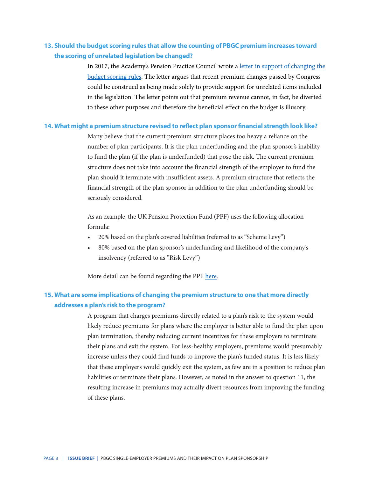# **13. Should the budget scoring rules that allow the counting of PBGC premium increases toward the scoring of unrelated legislation be changed?**

In 2017, the Academy's Pension Practice Council wrote a letter in support of changing the [budget scoring rules](https://www.actuary.org/sites/default/files/files/publications/Pension_Scoring_Letter_4.17.2017.pdf). The letter argues that recent premium changes passed by Congress could be construed as being made solely to provide support for unrelated items included in the legislation. The letter points out that premium revenue cannot, in fact, be diverted to these other purposes and therefore the beneficial effect on the budget is illusory.

### **14. What might a premium structure revised to reflect plan sponsor financial strength look like?**

Many believe that the current premium structure places too heavy a reliance on the number of plan participants. It is the plan underfunding and the plan sponsor's inability to fund the plan (if the plan is underfunded) that pose the risk. The current premium structure does not take into account the financial strength of the employer to fund the plan should it terminate with insufficient assets. A premium structure that reflects the financial strength of the plan sponsor in addition to the plan underfunding should be seriously considered.

As an example, the UK Pension Protection Fund (PPF) uses the following allocation formula:

- 20% based on the plan's covered liabilities (referred to as "Scheme Levy")
- 80% based on the plan sponsor's underfunding and likelihood of the company's insolvency (referred to as "Risk Levy")

More detail can be found regarding the PPF [here.](https://www.ppf.co.uk/levy-payers/what-levy-and-who-has-pay-it)

# **15. What are some implications of changing the premium structure to one that more directly addresses a plan's risk to the program?**

A program that charges premiums directly related to a plan's risk to the system would likely reduce premiums for plans where the employer is better able to fund the plan upon plan termination, thereby reducing current incentives for these employers to terminate their plans and exit the system. For less-healthy employers, premiums would presumably increase unless they could find funds to improve the plan's funded status. It is less likely that these employers would quickly exit the system, as few are in a position to reduce plan liabilities or terminate their plans. However, as noted in the answer to question 11, the resulting increase in premiums may actually divert resources from improving the funding of these plans.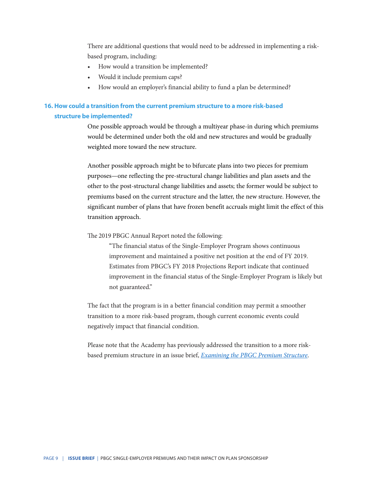There are additional questions that would need to be addressed in implementing a riskbased program, including:

- How would a transition be implemented?
- Would it include premium caps?
- How would an employer's financial ability to fund a plan be determined?

## **16. How could a transition from the current premium structure to a more risk-based structure be implemented?**

One possible approach would be through a multiyear phase-in during which premiums would be determined under both the old and new structures and would be gradually weighted more toward the new structure.

Another possible approach might be to bifurcate plans into two pieces for premium purposes—one reflecting the pre-structural change liabilities and plan assets and the other to the post-structural change liabilities and assets; the former would be subject to premiums based on the current structure and the latter, the new structure. However, the significant number of plans that have frozen benefit accruals might limit the effect of this transition approach.

The 2019 PBGC Annual Report noted the following:

 "The financial status of the Single-Employer Program shows continuous improvement and maintained a positive net position at the end of FY 2019. Estimates from PBGC's FY 2018 Projections Report indicate that continued improvement in the financial status of the Single-Employer Program is likely but not guaranteed."

The fact that the program is in a better financial condition may permit a smoother transition to a more risk-based program, though current economic events could negatively impact that financial condition.

Please note that the Academy has previously addressed the transition to a more riskbased premium structure in an issue brief, *[Examining the PBGC Premium Structure](https://www.actuary.org/sites/default/files/files/publications/IB_on_PBGCPremium_120426.pdf)*.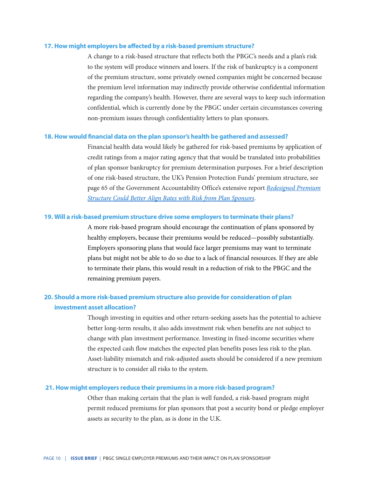### **17. How might employers be affected by a risk-based premium structure?**

A change to a risk-based structure that reflects both the PBGC's needs and a plan's risk to the system will produce winners and losers. If the risk of bankruptcy is a component of the premium structure, some privately owned companies might be concerned because the premium level information may indirectly provide otherwise confidential information regarding the company's health. However, there are several ways to keep such information confidential, which is currently done by the PBGC under certain circumstances covering non-premium issues through confidentiality letters to plan sponsors.

### **18. How would financial data on the plan sponsor's health be gathered and assessed?**

Financial health data would likely be gathered for risk-based premiums by application of credit ratings from a major rating agency that that would be translated into probabilities of plan sponsor bankruptcy for premium determination purposes. For a brief description of one risk-based structure, the UK's Pension Protection Funds' premium structure, see page 65 of the Government Accountability Office's extensive report *[Redesigned Premium](https://www.gao.gov/assets/650/649838.pdf) [Structure Could Better Align Rates with Risk from Plan Sponsors](https://www.gao.gov/assets/650/649838.pdf)*.

### **19. Will a risk-based premium structure drive some employers to terminate their plans?**

A more risk-based program should encourage the continuation of plans sponsored by healthy employers, because their premiums would be reduced—possibly substantially. Employers sponsoring plans that would face larger premiums may want to terminate plans but might not be able to do so due to a lack of financial resources. If they are able to terminate their plans, this would result in a reduction of risk to the PBGC and the remaining premium payers.

# **20. Should a more risk-based premium structure also provide for consideration of plan investment asset allocation?**

Though investing in equities and other return-seeking assets has the potential to achieve better long-term results, it also adds investment risk when benefits are not subject to change with plan investment performance. Investing in fixed-income securities where the expected cash flow matches the expected plan benefits poses less risk to the plan. Asset-liability mismatch and risk-adjusted assets should be considered if a new premium structure is to consider all risks to the system.

### **21. How might employers reduce their premiums in a more risk-based program?**

Other than making certain that the plan is well funded, a risk-based program might permit reduced premiums for plan sponsors that post a security bond or pledge employer assets as security to the plan, as is done in the U.K.